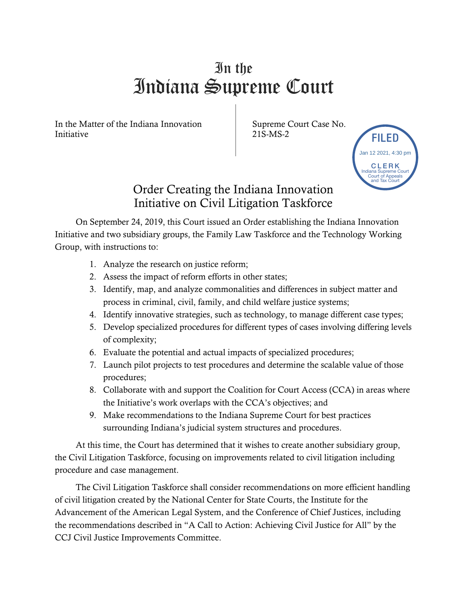## In the Indiana Supreme Court

In the Matter of the Indiana Innovation Initiative

Supreme Court Case No. 21S-MS-2



## Order Creating the Indiana Innovation Initiative on Civil Litigation Taskforce

On September 24, 2019, this Court issued an Order establishing the Indiana Innovation Initiative and two subsidiary groups, the Family Law Taskforce and the Technology Working Group, with instructions to:

- 1. Analyze the research on justice reform;
- 2. Assess the impact of reform efforts in other states;
- 3. Identify, map, and analyze commonalities and differences in subject matter and process in criminal, civil, family, and child welfare justice systems;
- 4. Identify innovative strategies, such as technology, to manage different case types;
- 5. Develop specialized procedures for different types of cases involving differing levels of complexity;
- 6. Evaluate the potential and actual impacts of specialized procedures;
- 7. Launch pilot projects to test procedures and determine the scalable value of those procedures;
- 8. Collaborate with and support the Coalition for Court Access (CCA) in areas where the Initiative's work overlaps with the CCA's objectives; and
- 9. Make recommendations to the Indiana Supreme Court for best practices surrounding Indiana's judicial system structures and procedures.

At this time, the Court has determined that it wishes to create another subsidiary group, the Civil Litigation Taskforce, focusing on improvements related to civil litigation including procedure and case management.

The Civil Litigation Taskforce shall consider recommendations on more efficient handling of civil litigation created by the National Center for State Courts, the Institute for the Advancement of the American Legal System, and the Conference of Chief Justices, including the recommendations described in "A Call to Action: Achieving Civil Justice for All" by the CCJ Civil Justice Improvements Committee.